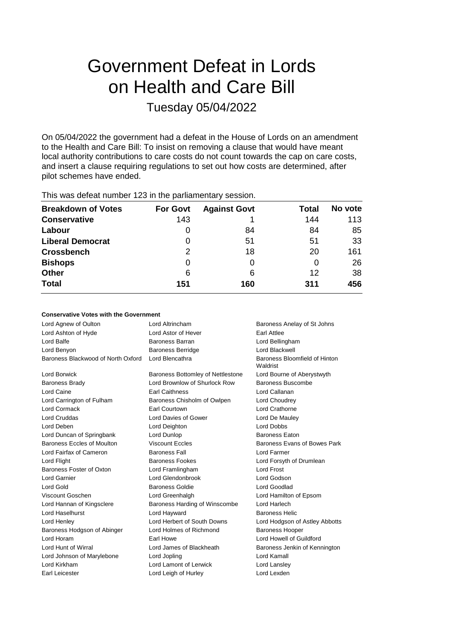# Government Defeat in Lords on Health and Care Bill

Tuesday 05/04/2022

On 05/04/2022 the government had a defeat in the House of Lords on an amendment to the Health and Care Bill: To insist on removing a clause that would have meant local authority contributions to care costs do not count towards the cap on care costs, and insert a clause requiring regulations to set out how costs are determined, after pilot schemes have ended.

| <b>Breakdown of Votes</b> | <b>For Govt</b> | <b>Against Govt</b> | Total | No vote |
|---------------------------|-----------------|---------------------|-------|---------|
| <b>Conservative</b>       | 143             |                     | 144   | 113     |
| Labour                    | 0               | 84                  | 84    | 85      |
| <b>Liberal Democrat</b>   | 0               | 51                  | 51    | 33      |
| <b>Crossbench</b>         | 2               | 18                  | 20    | 161     |
| <b>Bishops</b>            | 0               |                     | 0     | 26      |
| <b>Other</b>              | 6               | 6                   | 12    | 38      |
| <b>Total</b>              | 151             | 160                 | 311   | 456     |
|                           |                 |                     |       |         |

This was defeat number 123 in the parliamentary session.

#### **Conservative Votes with the Government**

| Lord Agnew of Oulton               | Lord Altrincham                   | Baroness Anelay of St Johns               |
|------------------------------------|-----------------------------------|-------------------------------------------|
| Lord Ashton of Hyde                | Lord Astor of Hever               | Earl Attlee                               |
| Lord Balfe                         | Baroness Barran                   | Lord Bellingham                           |
| Lord Benyon                        | <b>Baroness Berridge</b>          | Lord Blackwell                            |
| Baroness Blackwood of North Oxford | Lord Blencathra                   | Baroness Bloomfield of Hinton<br>Waldrist |
| Lord Borwick                       | Baroness Bottomley of Nettlestone | Lord Bourne of Aberystwyth                |
| <b>Baroness Brady</b>              | Lord Brownlow of Shurlock Row     | Baroness Buscombe                         |
| Lord Caine                         | <b>Earl Caithness</b>             | Lord Callanan                             |
| Lord Carrington of Fulham          | Baroness Chisholm of Owlpen       | Lord Choudrey                             |
| Lord Cormack                       | Earl Courtown                     | Lord Crathorne                            |
| <b>Lord Cruddas</b>                | Lord Davies of Gower              | Lord De Mauley                            |
| Lord Deben                         | Lord Deighton                     | <b>Lord Dobbs</b>                         |
| Lord Duncan of Springbank          | Lord Dunlop                       | <b>Baroness Eaton</b>                     |
| Baroness Eccles of Moulton         | <b>Viscount Eccles</b>            | Baroness Evans of Bowes Park              |
| Lord Fairfax of Cameron            | <b>Baroness Fall</b>              | Lord Farmer                               |
| Lord Flight                        | <b>Baroness Fookes</b>            | Lord Forsyth of Drumlean                  |
| Baroness Foster of Oxton           | Lord Framlingham                  | <b>Lord Frost</b>                         |
| Lord Garnier                       | Lord Glendonbrook                 | Lord Godson                               |
| Lord Gold                          | <b>Baroness Goldie</b>            | Lord Goodlad                              |
| Viscount Goschen                   | Lord Greenhalgh                   | Lord Hamilton of Epsom                    |
| Lord Hannan of Kingsclere          | Baroness Harding of Winscombe     | Lord Harlech                              |
| Lord Haselhurst                    | Lord Hayward                      | <b>Baroness Helic</b>                     |
| Lord Henley                        | Lord Herbert of South Downs       | Lord Hodgson of Astley Abbotts            |
| Baroness Hodgson of Abinger        | Lord Holmes of Richmond           | <b>Baroness Hooper</b>                    |
| Lord Horam                         | Earl Howe                         | Lord Howell of Guildford                  |
| Lord Hunt of Wirral                | Lord James of Blackheath          | Baroness Jenkin of Kennington             |
| Lord Johnson of Marylebone         | Lord Jopling                      | Lord Kamall                               |
| Lord Kirkham                       | Lord Lamont of Lerwick            | Lord Lansley                              |
| Earl Leicester                     | Lord Leigh of Hurley              | Lord Lexden                               |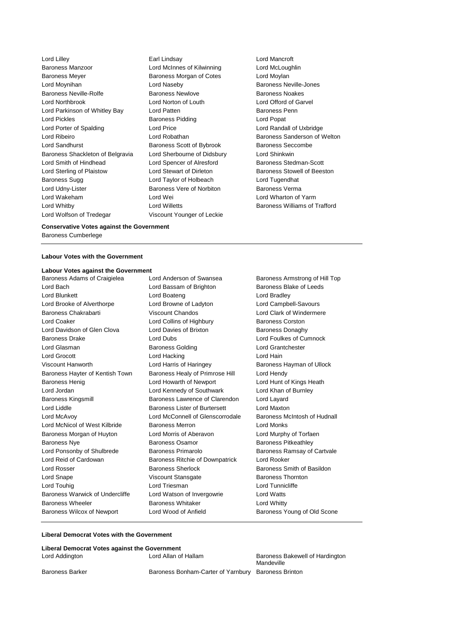Lord Lilley Earl Lindsay Lord Mancroft Baroness Manzoor Lord McInnes of Kilwinning Lord McLoughlin Baroness Meyer **Baroness Morgan of Cotes** Lord Moylan Lord Moynihan Lord Naseby Baroness Neville-Jones Baroness Neville-Rolfe **Baroness Newlove** Baroness Newlove **Baroness Noakes** Lord Northbrook Lord Norton of Louth Lord Offord of Garvel Lord Parkinson of Whitley Bay **Lord Patten Communist Communist Parkinson** Baroness Penn Lord Pickles **Baroness Pidding Lord Popat** Lord Popat Lord Porter of Spalding Lord Price Lord Randall of Uxbridge Lord Ribeiro **Lord Robathan** Baroness Sanderson of Welton Lord Sandhurst Baroness Scott of Bybrook Baroness Seccombe Baroness Shackleton of Belgravia Lord Sherbourne of Didsbury Lord Shinkwin Lord Smith of Hindhead Lord Spencer of Alresford Baroness Stedman-Scott Lord Sterling of Plaistow Lord Stewart of Dirleton Baroness Stowell of Beeston Baroness Sugg **Lord Taylor of Holbeach** Lord Tugendhat Lord Udny-Lister **Baroness Vere of Norbiton** Baroness Verma Lord Wakeham Lord Wei Lord Wharton of Yarm Lord Whitby Lord Willetts Baroness Williams of Trafford Lord Wolfson of Tredegar Viscount Younger of Leckie

#### **Conservative Votes against the Government**

Baroness Cumberlege

#### **Labour Votes with the Government**

### **Labour Votes against the Government**<br>Baroness Adams of Craigielea **Lord Anderson of Swansea**

Lord Bach **Lord Bassam of Brighton** Baroness Blake of Leeds Lord Blunkett Lord Boateng Lord Bradley Lord Brooke of Alverthorpe Lord Browne of Ladyton Lord Campbell-Savours Baroness Chakrabarti **Viscount Chandos** Lord Clark of Windermere Lord Coaker Lord Collins of Highbury Baroness Corston Lord Davidson of Glen Clova Lord Davies of Brixton Baroness Donaghy Baroness Drake Lord Dubs Lord Foulkes of Cumnock Lord Glasman Baroness Golding Lord Grantchester Lord Grocott **Lord Hacking** Lord Hacking **Lord Hain** Viscount Hanworth **Lord Harris of Haringey** Baroness Hayman of Ullock Baroness Hayter of Kentish Town Baroness Healy of Primrose Hill Lord Hendy Baroness Henig **Lord Howarth of Newport** Lord Hunt of Kings Heath Lord Jordan Lord Kennedy of Southwark Lord Khan of Burnley Baroness Kingsmill Baroness Lawrence of Clarendon Lord Layard Lord Liddle Baroness Lister of Burtersett Lord Maxton Lord McAvoy Lord McConnell of Glenscorrodale Baroness McIntosh of Hudnall Lord McNicol of West Kilbride Baroness Merron Lord Monks Baroness Morgan of Huyton Lord Morris of Aberavon Lord Murphy of Torfaen Baroness Nye **Baroness Osamor** Baroness Osamor **Baroness Pitkeathley** Lord Ponsonby of Shulbrede Baroness Primarolo Baroness Ramsay of Cartvale Lord Reid of Cardowan Baroness Ritchie of Downpatrick Lord Rooker Lord Rosser Baroness Sherlock Baroness Smith of Basildon Lord Snape **Viscount Stansgate** Baroness Thornton Lord Touhig Lord Triesman Lord Tunnicliffe Baroness Warwick of Undercliffe Lord Watson of Invergowrie Lord Watts Baroness Wheeler **Baroness Whitaker** Lord Whitty Baroness Wilcox of Newport Lord Wood of Anfield Baroness Young of Old Scone

Baroness Adams of Craigielea Lord Anderson of Swansea Baroness Armstrong of Hill Top

#### **Liberal Democrat Votes with the Government**

#### **Liberal Democrat Votes against the Government** Lord Addington **Lord Allan of Hallam** Baroness Bakewell of Hardington Mandeville Baroness Barker **Baroness Bonham-Carter of Yarnbury** Baroness Brinton